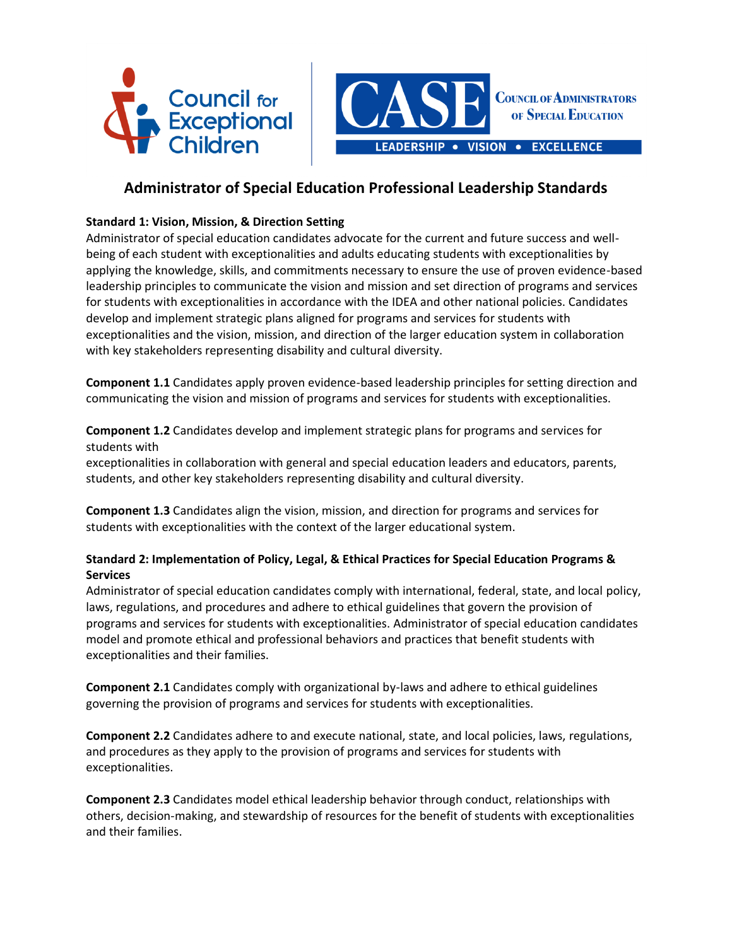



# **Administrator of Special Education Professional Leadership Standards**

## **Standard 1: Vision, Mission, & Direction Setting**

Administrator of special education candidates advocate for the current and future success and wellbeing of each student with exceptionalities and adults educating students with exceptionalities by applying the knowledge, skills, and commitments necessary to ensure the use of proven evidence-based leadership principles to communicate the vision and mission and set direction of programs and services for students with exceptionalities in accordance with the IDEA and other national policies. Candidates develop and implement strategic plans aligned for programs and services for students with exceptionalities and the vision, mission, and direction of the larger education system in collaboration with key stakeholders representing disability and cultural diversity.

**Component 1.1** Candidates apply proven evidence-based leadership principles for setting direction and communicating the vision and mission of programs and services for students with exceptionalities.

**Component 1.2** Candidates develop and implement strategic plans for programs and services for students with

exceptionalities in collaboration with general and special education leaders and educators, parents, students, and other key stakeholders representing disability and cultural diversity.

**Component 1.3** Candidates align the vision, mission, and direction for programs and services for students with exceptionalities with the context of the larger educational system.

## **Standard 2: Implementation of Policy, Legal, & Ethical Practices for Special Education Programs & Services**

Administrator of special education candidates comply with international, federal, state, and local policy, laws, regulations, and procedures and adhere to ethical guidelines that govern the provision of programs and services for students with exceptionalities. Administrator of special education candidates model and promote ethical and professional behaviors and practices that benefit students with exceptionalities and their families.

**Component 2.1** Candidates comply with organizational by-laws and adhere to ethical guidelines governing the provision of programs and services for students with exceptionalities.

**Component 2.2** Candidates adhere to and execute national, state, and local policies, laws, regulations, and procedures as they apply to the provision of programs and services for students with exceptionalities.

**Component 2.3** Candidates model ethical leadership behavior through conduct, relationships with others, decision-making, and stewardship of resources for the benefit of students with exceptionalities and their families.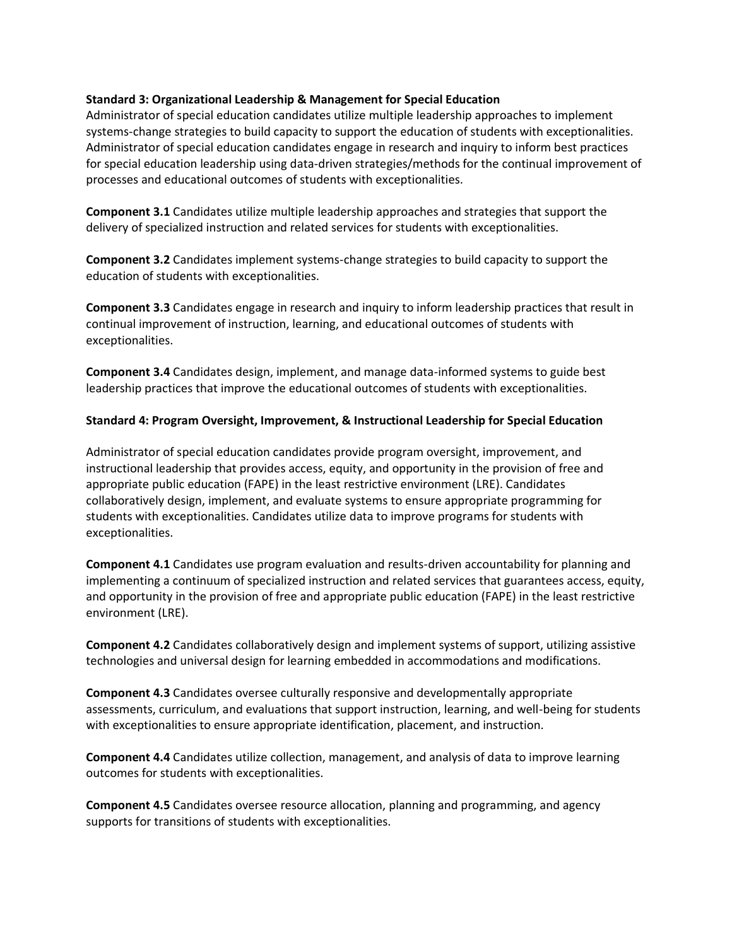### **Standard 3: Organizational Leadership & Management for Special Education**

Administrator of special education candidates utilize multiple leadership approaches to implement systems-change strategies to build capacity to support the education of students with exceptionalities. Administrator of special education candidates engage in research and inquiry to inform best practices for special education leadership using data-driven strategies/methods for the continual improvement of processes and educational outcomes of students with exceptionalities.

**Component 3.1** Candidates utilize multiple leadership approaches and strategies that support the delivery of specialized instruction and related services for students with exceptionalities.

**Component 3.2** Candidates implement systems-change strategies to build capacity to support the education of students with exceptionalities.

**Component 3.3** Candidates engage in research and inquiry to inform leadership practices that result in continual improvement of instruction, learning, and educational outcomes of students with exceptionalities.

**Component 3.4** Candidates design, implement, and manage data-informed systems to guide best leadership practices that improve the educational outcomes of students with exceptionalities.

### **Standard 4: Program Oversight, Improvement, & Instructional Leadership for Special Education**

Administrator of special education candidates provide program oversight, improvement, and instructional leadership that provides access, equity, and opportunity in the provision of free and appropriate public education (FAPE) in the least restrictive environment (LRE). Candidates collaboratively design, implement, and evaluate systems to ensure appropriate programming for students with exceptionalities. Candidates utilize data to improve programs for students with exceptionalities.

**Component 4.1** Candidates use program evaluation and results-driven accountability for planning and implementing a continuum of specialized instruction and related services that guarantees access, equity, and opportunity in the provision of free and appropriate public education (FAPE) in the least restrictive environment (LRE).

**Component 4.2** Candidates collaboratively design and implement systems of support, utilizing assistive technologies and universal design for learning embedded in accommodations and modifications.

**Component 4.3** Candidates oversee culturally responsive and developmentally appropriate assessments, curriculum, and evaluations that support instruction, learning, and well-being for students with exceptionalities to ensure appropriate identification, placement, and instruction.

**Component 4.4** Candidates utilize collection, management, and analysis of data to improve learning outcomes for students with exceptionalities.

**Component 4.5** Candidates oversee resource allocation, planning and programming, and agency supports for transitions of students with exceptionalities.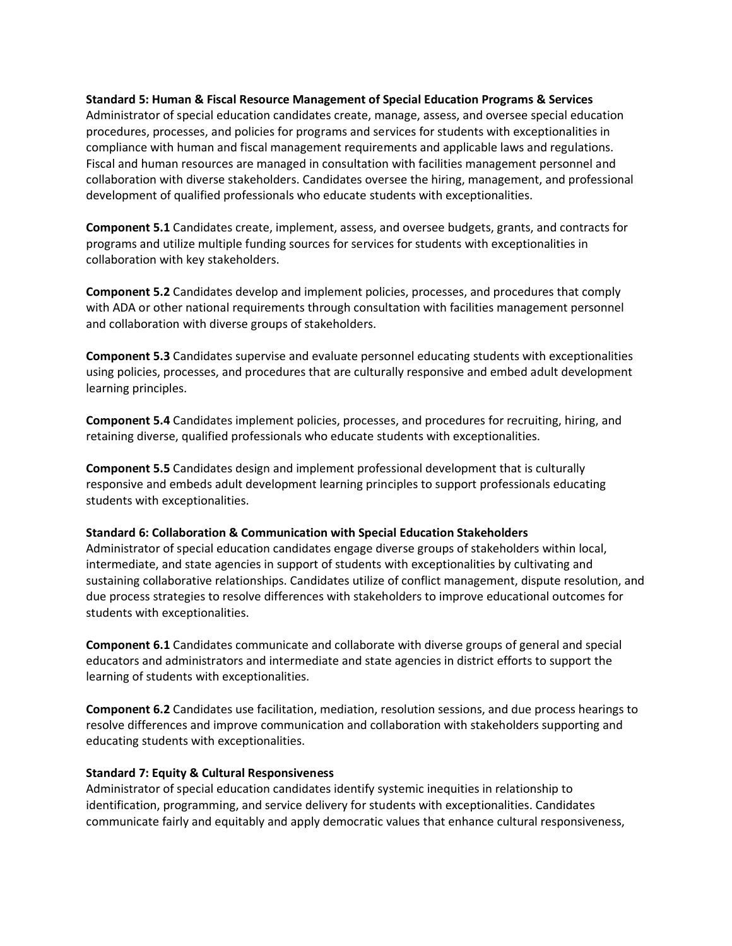#### **Standard 5: Human & Fiscal Resource Management of Special Education Programs & Services**

Administrator of special education candidates create, manage, assess, and oversee special education procedures, processes, and policies for programs and services for students with exceptionalities in compliance with human and fiscal management requirements and applicable laws and regulations. Fiscal and human resources are managed in consultation with facilities management personnel and collaboration with diverse stakeholders. Candidates oversee the hiring, management, and professional development of qualified professionals who educate students with exceptionalities.

**Component 5.1** Candidates create, implement, assess, and oversee budgets, grants, and contracts for programs and utilize multiple funding sources for services for students with exceptionalities in collaboration with key stakeholders.

**Component 5.2** Candidates develop and implement policies, processes, and procedures that comply with ADA or other national requirements through consultation with facilities management personnel and collaboration with diverse groups of stakeholders.

**Component 5.3** Candidates supervise and evaluate personnel educating students with exceptionalities using policies, processes, and procedures that are culturally responsive and embed adult development learning principles.

**Component 5.4** Candidates implement policies, processes, and procedures for recruiting, hiring, and retaining diverse, qualified professionals who educate students with exceptionalities.

**Component 5.5** Candidates design and implement professional development that is culturally responsive and embeds adult development learning principles to support professionals educating students with exceptionalities.

#### **Standard 6: Collaboration & Communication with Special Education Stakeholders**

Administrator of special education candidates engage diverse groups of stakeholders within local, intermediate, and state agencies in support of students with exceptionalities by cultivating and sustaining collaborative relationships. Candidates utilize of conflict management, dispute resolution, and due process strategies to resolve differences with stakeholders to improve educational outcomes for students with exceptionalities.

**Component 6.1** Candidates communicate and collaborate with diverse groups of general and special educators and administrators and intermediate and state agencies in district efforts to support the learning of students with exceptionalities.

**Component 6.2** Candidates use facilitation, mediation, resolution sessions, and due process hearings to resolve differences and improve communication and collaboration with stakeholders supporting and educating students with exceptionalities.

### **Standard 7: Equity & Cultural Responsiveness**

Administrator of special education candidates identify systemic inequities in relationship to identification, programming, and service delivery for students with exceptionalities. Candidates communicate fairly and equitably and apply democratic values that enhance cultural responsiveness,